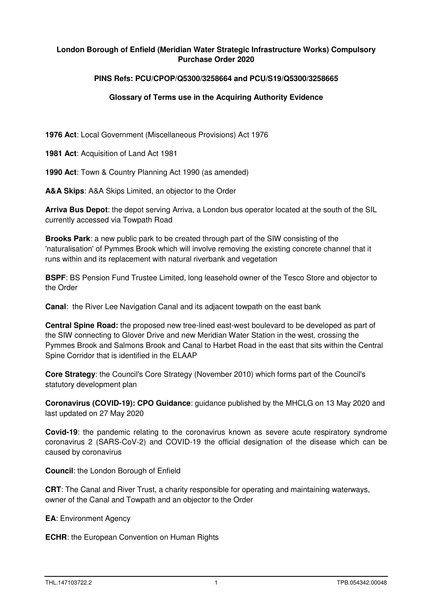## **London Borough of Enfield (Meridian Water Strategic Infrastructure Works) Compulsory Purchase Order 2020**

## **PINS Refs: PCU/CPOP/Q5300/3258664 and PCU/S19/Q5300/3258665**

## **Glossary of Terms use in the Acquiring Authority Evidence**

**1976 Act**: Local Government (Miscellaneous Provisions) Act 1976

**1981 Act**: Acquisition of Land Act 1981

**1990 Act**: Town & Country Planning Act 1990 (as amended)

**A&A Skips**: A&A Skips Limited, an objector to the Order

**Arriva Bus Depot**: the depot serving Arriva, a London bus operator located at the south of the SIL currently accessed via Towpath Road

**Brooks Park**: a new public park to be created through part of the SIW consisting of the 'naturalisation' of Pymmes Brook which will involve removing the existing concrete channel that it runs within and its replacement with natural riverbank and vegetation

**BSPF**: BS Pension Fund Trustee Limited, long leasehold owner of the Tesco Store and objector to the Order

**Canal**:the River Lee Navigation Canal and its adjacent towpath on the east bank

**Central Spine Road:** the proposed new tree-lined east-west boulevard to be developed as part of the SIW connecting to Glover Drive and new Meridian Water Station in the west, crossing the Pymmes Brook and Salmons Brook and Canal to Harbet Road in the east that sits within the Central Spine Corridor that is identified in the ELAAP

**Core Strategy**: the Council's Core Strategy (November 2010) which forms part of the Council's statutory development plan

**Coronavirus (COVID-19): CPO Guidance**: guidance published by the MHCLG on 13 May 2020 and last updated on 27 May 2020

**Covid-19**: the pandemic relating to the coronavirus known as severe acute respiratory syndrome coronavirus 2 (SARS-CoV-2) and COVID-19 the official designation of the disease which can be caused by coronavirus

**Council**: the London Borough of Enfield

**CRT**: The Canal and River Trust, a charity responsible for operating and maintaining waterways, owner of the Canal and Towpath and an objector to the Order

**EA**: Environment Agency

**ECHR**: the European Convention on Human Rights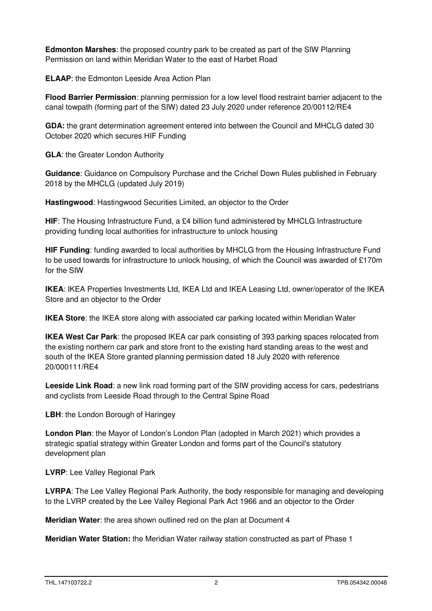**Edmonton Marshes**: the proposed country park to be created as part of the SIW Planning Permission on land within Meridian Water to the east of Harbet Road

**ELAAP**: the Edmonton Leeside Area Action Plan

**Flood Barrier Permission**: planning permission for a low level flood restraint barrier adjacent to the canal towpath (forming part of the SIW) dated 23 July 2020 under reference 20/00112/RE4

**GDA:** the grant determination agreement entered into between the Council and MHCLG dated 30 October 2020 which secures HIF Funding

**GLA**: the Greater London Authority

**Guidance**: Guidance on Compulsory Purchase and the Crichel Down Rules published in February 2018 by the MHCLG (updated July 2019)

**Hastingwood**: Hastingwood Securities Limited, an objector to the Order

**HIF**: The Housing Infrastructure Fund, a £4 billion fund administered by MHCLG Infrastructure providing funding local authorities for infrastructure to unlock housing

**HIF Funding**: funding awarded to local authorities by MHCLG from the Housing Infrastructure Fund to be used towards for infrastructure to unlock housing, of which the Council was awarded of £170m for the SIW

**IKEA**: IKEA Properties Investments Ltd, IKEA Ltd and IKEA Leasing Ltd, owner/operator of the IKEA Store and an objector to the Order

**IKEA Store**: the IKEA store along with associated car parking located within Meridian Water

**IKEA West Car Park**: the proposed IKEA car park consisting of 393 parking spaces relocated from the existing northern car park and store front to the existing hard standing areas to the west and south of the IKEA Store granted planning permission dated 18 July 2020 with reference 20/000111/RE4

**Leeside Link Road:** a new link road forming part of the SIW providing access for cars, pedestrians and cyclists from Leeside Road through to the Central Spine Road

**LBH**: the London Borough of Haringey

**London Plan**: the Mayor of London's London Plan (adopted in March 2021) which provides a strategic spatial strategy within Greater London and forms part of the Council's statutory development plan

**LVRP**: Lee Valley Regional Park

**LVRPA**: The Lee Valley Regional Park Authority, the body responsible for managing and developing to the LVRP created by the Lee Valley Regional Park Act 1966 and an objector to the Order

**Meridian Water**: the area shown outlined red on the plan at Document 4

**Meridian Water Station:** the Meridian Water railway station constructed as part of Phase 1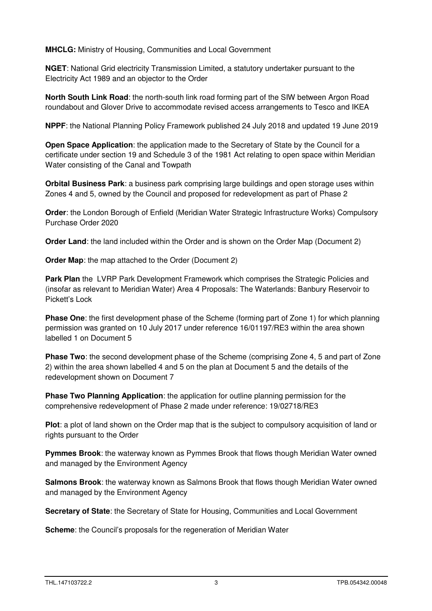**MHCLG:** Ministry of Housing, Communities and Local Government

**NGET**: National Grid electricity Transmission Limited, a statutory undertaker pursuant to the Electricity Act 1989 and an objector to the Order

**North South Link Road**: the north-south link road forming part of the SIW between Argon Road roundabout and Glover Drive to accommodate revised access arrangements to Tesco and IKEA

**NPPF**: the National Planning Policy Framework published 24 July 2018 and updated 19 June 2019

**Open Space Application**: the application made to the Secretary of State by the Council for a certificate under section 19 and Schedule 3 of the 1981 Act relating to open space within Meridian Water consisting of the Canal and Towpath

**Orbital Business Park**: a business park comprising large buildings and open storage uses within Zones 4 and 5, owned by the Council and proposed for redevelopment as part of Phase 2

**Order**: the London Borough of Enfield (Meridian Water Strategic Infrastructure Works) Compulsory Purchase Order 2020

**Order Land:** the land included within the Order and is shown on the Order Map (Document 2)

**Order Map:** the map attached to the Order (Document 2)

**Park Plan** the LVRP Park Development Framework which comprises the Strategic Policies and (insofar as relevant to Meridian Water) Area 4 Proposals: The Waterlands: Banbury Reservoir to Pickett's Lock

**Phase One**: the first development phase of the Scheme (forming part of Zone 1) for which planning permission was granted on 10 July 2017 under reference 16/01197/RE3 within the area shown labelled 1 on Document 5

**Phase Two**: the second development phase of the Scheme (comprising Zone 4, 5 and part of Zone 2) within the area shown labelled 4 and 5 on the plan at Document 5 and the details of the redevelopment shown on Document 7

**Phase Two Planning Application**: the application for outline planning permission for the comprehensive redevelopment of Phase 2 made under reference: 19/02718/RE3

**Plot**: a plot of land shown on the Order map that is the subject to compulsory acquisition of land or rights pursuant to the Order

**Pymmes Brook**: the waterway known as Pymmes Brook that flows though Meridian Water owned and managed by the Environment Agency

**Salmons Brook**: the waterway known as Salmons Brook that flows though Meridian Water owned and managed by the Environment Agency

**Secretary of State**: the Secretary of State for Housing, Communities and Local Government

**Scheme:** the Council's proposals for the regeneration of Meridian Water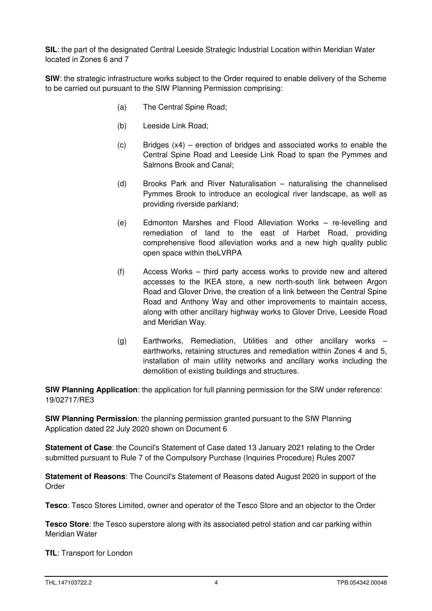**SIL**: the part of the designated Central Leeside Strategic Industrial Location within Meridian Water located in Zones 6 and 7

**SIW**: the strategic infrastructure works subject to the Order required to enable delivery of the Scheme to be carried out pursuant to the SIW Planning Permission comprising:

- (a) The Central Spine Road;
- (b) Leeside Link Road;
- $(c)$  Bridges  $(x4)$  erection of bridges and associated works to enable the Central Spine Road and Leeside Link Road to span the Pymmes and Salmons Brook and Canal;
- (d) Brooks Park and River Naturalisation naturalising the channelised Pymmes Brook to introduce an ecological river landscape, as well as providing riverside parkland;
- (e) Edmonton Marshes and Flood Alleviation Works re-levelling and remediation of land to the east of Harbet Road, providing comprehensive flood alleviation works and a new high quality public open space within theLVRPA
- (f) Access Works third party access works to provide new and altered accesses to the IKEA store, a new north-south link between Argon Road and Glover Drive, the creation of a link between the Central Spine Road and Anthony Way and other improvements to maintain access, along with other ancillary highway works to Glover Drive, Leeside Road and Meridian Way.
- (g) Earthworks, Remediation, Utilities and other ancillary works earthworks, retaining structures and remediation within Zones 4 and 5, installation of main utility networks and ancillary works including the demolition of existing buildings and structures.

**SIW Planning Application**: the application for full planning permission for the SIW under reference: 19/02717/RE3

**SIW Planning Permission**: the planning permission granted pursuant to the SIW Planning Application dated 22 July 2020 shown on Document 6

**Statement of Case**: the Council's Statement of Case dated 13 January 2021 relating to the Order submitted pursuant to Rule 7 of the Compulsory Purchase (Inquiries Procedure) Rules 2007

**Statement of Reasons**: The Council's Statement of Reasons dated August 2020 in support of the Order

**Tesco**: Tesco Stores Limited, owner and operator of the Tesco Store and an objector to the Order

**Tesco Store**: the Tesco superstore along with its associated petrol station and car parking within Meridian Water

**TfL**: Transport for London